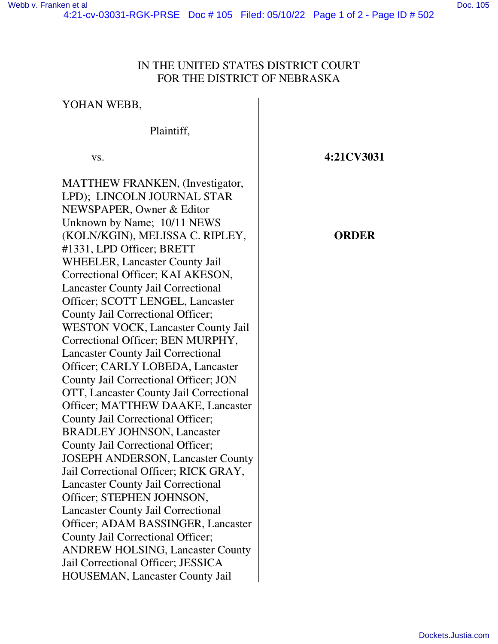YOHAN WEBB,

## IN THE UNITED STATES DISTRICT COURT FOR THE DISTRICT OF NEBRASKA

Plaintiff, vs. MATTHEW FRANKEN, (Investigator, LPD); LINCOLN JOURNAL STAR NEWSPAPER, Owner & Editor Unknown by Name; 10/11 NEWS (KOLN/KGIN), MELISSA C. RIPLEY, #1331, LPD Officer; BRETT WHEELER, Lancaster County Jail Correctional Officer; KAI AKESON, Lancaster County Jail Correctional Officer; SCOTT LENGEL, Lancaster County Jail Correctional Officer; WESTON VOCK, Lancaster County Jail Correctional Officer; BEN MURPHY, Lancaster County Jail Correctional Officer; CARLY LOBEDA, Lancaster County Jail Correctional Officer; JON OTT, Lancaster County Jail Correctional Officer; MATTHEW DAAKE, Lancaster County Jail Correctional Officer; BRADLEY JOHNSON, Lancaster County Jail Correctional Officer; JOSEPH ANDERSON, Lancaster County Jail Correctional Officer; RICK GRAY, Lancaster County Jail Correctional Officer; STEPHEN JOHNSON, Lancaster County Jail Correctional Officer; ADAM BASSINGER, Lancaster County Jail Correctional Officer; ANDREW HOLSING, Lancaster County Jail Correctional Officer; JESSICA HOUSEMAN, Lancaster County Jail

**4:21CV3031** 

## **ORDER**